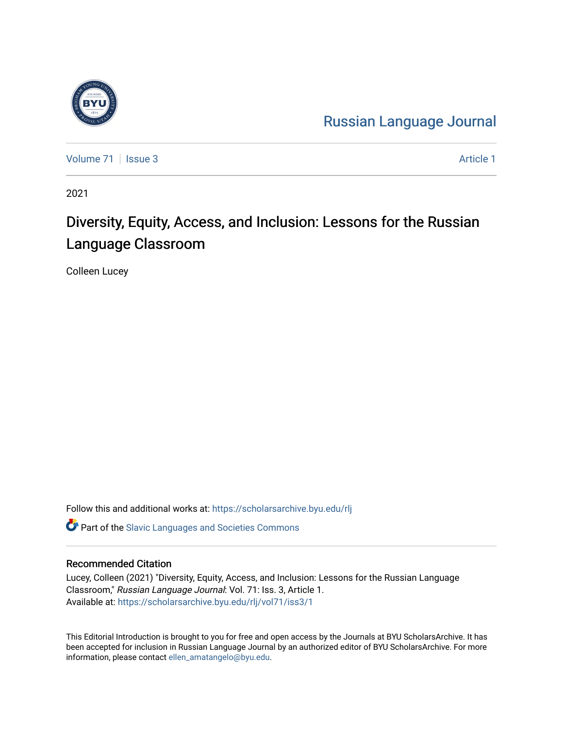

[Russian Language Journal](https://scholarsarchive.byu.edu/rlj) 

[Volume 71](https://scholarsarchive.byu.edu/rlj/vol71) | [Issue 3](https://scholarsarchive.byu.edu/rlj/vol71/iss3) Article 1

2021

# Diversity, Equity, Access, and Inclusion: Lessons for the Russian Language Classroom

Colleen Lucey

Follow this and additional works at: [https://scholarsarchive.byu.edu/rlj](https://scholarsarchive.byu.edu/rlj?utm_source=scholarsarchive.byu.edu%2Frlj%2Fvol71%2Fiss3%2F1&utm_medium=PDF&utm_campaign=PDFCoverPages)

**C** Part of the Slavic Languages and Societies Commons

### Recommended Citation

Lucey, Colleen (2021) "Diversity, Equity, Access, and Inclusion: Lessons for the Russian Language Classroom," Russian Language Journal: Vol. 71: Iss. 3, Article 1. Available at: [https://scholarsarchive.byu.edu/rlj/vol71/iss3/1](https://scholarsarchive.byu.edu/rlj/vol71/iss3/1?utm_source=scholarsarchive.byu.edu%2Frlj%2Fvol71%2Fiss3%2F1&utm_medium=PDF&utm_campaign=PDFCoverPages) 

This Editorial Introduction is brought to you for free and open access by the Journals at BYU ScholarsArchive. It has been accepted for inclusion in Russian Language Journal by an authorized editor of BYU ScholarsArchive. For more information, please contact [ellen\\_amatangelo@byu.edu.](mailto:ellen_amatangelo@byu.edu)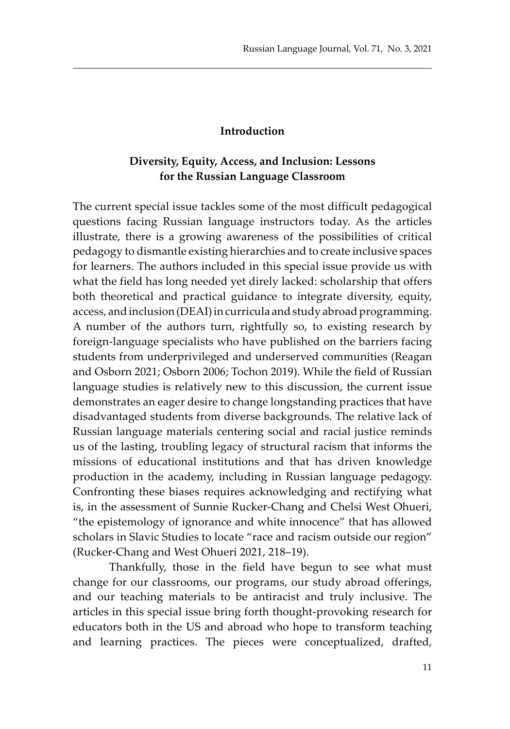#### **Introduction**

## **Diversity, Equity, Access, and Inclusion: Lessons for the Russian Language Classroom**

The current special issue tackles some of the most difficult pedagogical questions facing Russian language instructors today. As the articles illustrate, there is a growing awareness of the possibilities of critical pedagogy to dismantle existing hierarchies and to create inclusive spaces for learners. The authors included in this special issue provide us with what the field has long needed yet direly lacked: scholarship that offers both theoretical and practical guidance to integrate diversity, equity, access, and inclusion (DEAI) in curricula and study abroad programming. A number of the authors turn, rightfully so, to existing research by foreign-language specialists who have published on the barriers facing students from underprivileged and underserved communities (Reagan and Osborn 2021; Osborn 2006; Tochon 2019). While the field of Russian language studies is relatively new to this discussion, the current issue demonstrates an eager desire to change longstanding practices that have disadvantaged students from diverse backgrounds. The relative lack of Russian language materials centering social and racial justice reminds us of the lasting, troubling legacy of structural racism that informs the missions of educational institutions and that has driven knowledge production in the academy, including in Russian language pedagogy. Confronting these biases requires acknowledging and rectifying what is, in the assessment of Sunnie Rucker-Chang and Chelsi West Ohueri, "the epistemology of ignorance and white innocence" that has allowed scholars in Slavic Studies to locate "race and racism outside our region" (Rucker-Chang and West Ohueri 2021, 218–19).

Thankfully, those in the field have begun to see what must change for our classrooms, our programs, our study abroad offerings, and our teaching materials to be antiracist and truly inclusive. The articles in this special issue bring forth thought-provoking research for educators both in the US and abroad who hope to transform teaching and learning practices. The pieces were conceptualized, drafted,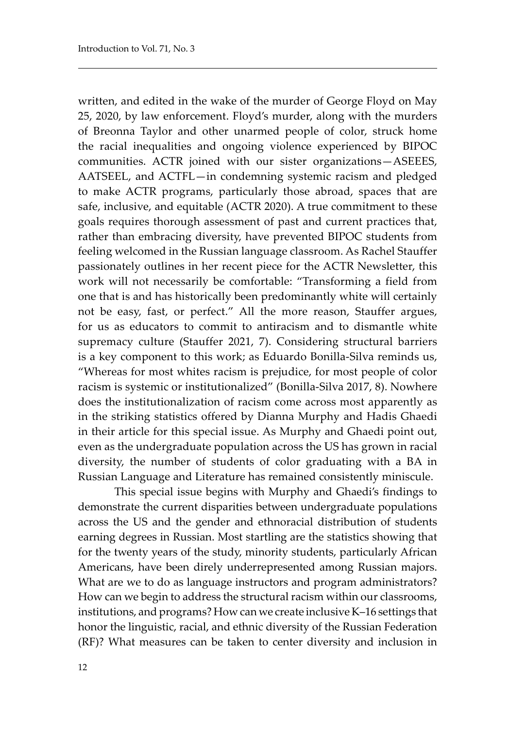written, and edited in the wake of the murder of George Floyd on May 25, 2020, by law enforcement. Floyd's murder, along with the murders of Breonna Taylor and other unarmed people of color, struck home the racial inequalities and ongoing violence experienced by BIPOC communities. ACTR joined with our sister organizations—ASEEES, AATSEEL, and ACTFL—in condemning systemic racism and pledged to make ACTR programs, particularly those abroad, spaces that are safe, inclusive, and equitable (ACTR 2020). A true commitment to these goals requires thorough assessment of past and current practices that, rather than embracing diversity, have prevented BIPOC students from feeling welcomed in the Russian language classroom. As Rachel Stauffer passionately outlines in her recent piece for the ACTR Newsletter, this work will not necessarily be comfortable: "Transforming a field from one that is and has historically been predominantly white will certainly not be easy, fast, or perfect." All the more reason, Stauffer argues, for us as educators to commit to antiracism and to dismantle white supremacy culture (Stauffer 2021, 7). Considering structural barriers is a key component to this work; as Eduardo Bonilla-Silva reminds us, "Whereas for most whites racism is prejudice, for most people of color racism is systemic or institutionalized" (Bonilla-Silva 2017, 8). Nowhere does the institutionalization of racism come across most apparently as in the striking statistics offered by Dianna Murphy and Hadis Ghaedi in their article for this special issue. As Murphy and Ghaedi point out, even as the undergraduate population across the US has grown in racial diversity, the number of students of color graduating with a BA in Russian Language and Literature has remained consistently miniscule.

This special issue begins with Murphy and Ghaedi's findings to demonstrate the current disparities between undergraduate populations across the US and the gender and ethnoracial distribution of students earning degrees in Russian. Most startling are the statistics showing that for the twenty years of the study, minority students, particularly African Americans, have been direly underrepresented among Russian majors. What are we to do as language instructors and program administrators? How can we begin to address the structural racism within our classrooms, institutions, and programs? How can we create inclusive K–16 settings that honor the linguistic, racial, and ethnic diversity of the Russian Federation (RF)? What measures can be taken to center diversity and inclusion in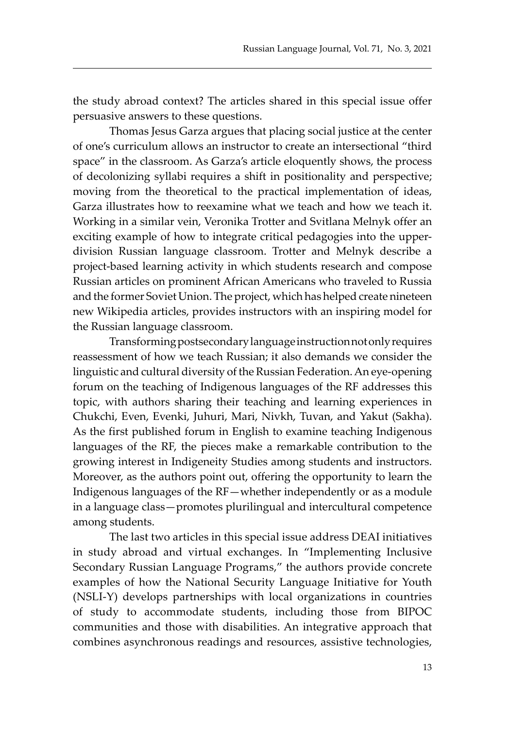the study abroad context? The articles shared in this special issue offer persuasive answers to these questions.

Thomas Jesus Garza argues that placing social justice at the center of one's curriculum allows an instructor to create an intersectional "third space" in the classroom. As Garza's article eloquently shows, the process of decolonizing syllabi requires a shift in positionality and perspective; moving from the theoretical to the practical implementation of ideas, Garza illustrates how to reexamine what we teach and how we teach it. Working in a similar vein, Veronika Trotter and Svitlana Melnyk offer an exciting example of how to integrate critical pedagogies into the upperdivision Russian language classroom. Trotter and Melnyk describe a project-based learning activity in which students research and compose Russian articles on prominent African Americans who traveled to Russia and the former Soviet Union. The project, which has helped create nineteen new Wikipedia articles, provides instructors with an inspiring model for the Russian language classroom.

Transforming postsecondary language instruction not only requires reassessment of how we teach Russian; it also demands we consider the linguistic and cultural diversity of the Russian Federation. An eye-opening forum on the teaching of Indigenous languages of the RF addresses this topic, with authors sharing their teaching and learning experiences in Chukchi, Even, Evenki, Juhuri, Mari, Nivkh, Tuvan, and Yakut (Sakha). As the first published forum in English to examine teaching Indigenous languages of the RF, the pieces make a remarkable contribution to the growing interest in Indigeneity Studies among students and instructors. Moreover, as the authors point out, offering the opportunity to learn the Indigenous languages of the RF—whether independently or as a module in a language class—promotes plurilingual and intercultural competence among students.

The last two articles in this special issue address DEAI initiatives in study abroad and virtual exchanges. In "Implementing Inclusive Secondary Russian Language Programs," the authors provide concrete examples of how the National Security Language Initiative for Youth (NSLI-Y) develops partnerships with local organizations in countries of study to accommodate students, including those from BIPOC communities and those with disabilities. An integrative approach that combines asynchronous readings and resources, assistive technologies,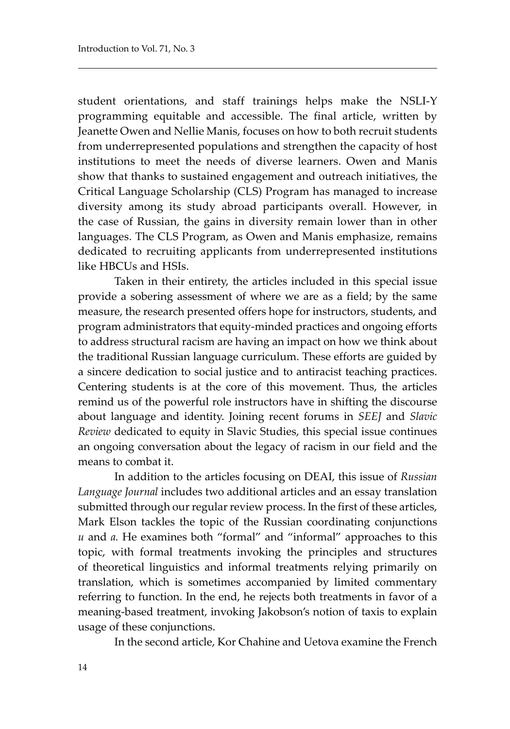student orientations, and staff trainings helps make the NSLI-Y programming equitable and accessible. The final article, written by Jeanette Owen and Nellie Manis, focuses on how to both recruit students from underrepresented populations and strengthen the capacity of host institutions to meet the needs of diverse learners. Owen and Manis show that thanks to sustained engagement and outreach initiatives, the Critical Language Scholarship (CLS) Program has managed to increase diversity among its study abroad participants overall. However, in the case of Russian, the gains in diversity remain lower than in other languages. The CLS Program, as Owen and Manis emphasize, remains dedicated to recruiting applicants from underrepresented institutions like HBCUs and HSIs.

Taken in their entirety, the articles included in this special issue provide a sobering assessment of where we are as a field; by the same measure, the research presented offers hope for instructors, students, and program administrators that equity-minded practices and ongoing efforts to address structural racism are having an impact on how we think about the traditional Russian language curriculum. These efforts are guided by a sincere dedication to social justice and to antiracist teaching practices. Centering students is at the core of this movement. Thus, the articles remind us of the powerful role instructors have in shifting the discourse about language and identity. Joining recent forums in *SEEJ* and *Slavic Review* dedicated to equity in Slavic Studies, this special issue continues an ongoing conversation about the legacy of racism in our field and the means to combat it.

In addition to the articles focusing on DEAI, this issue of *Russian Language Journal* includes two additional articles and an essay translation submitted through our regular review process. In the first of these articles, Mark Elson tackles the topic of the Russian coordinating conjunctions *и* and *а.* He examines both "formal" and "informal" approaches to this topic, with formal treatments invoking the principles and structures of theoretical linguistics and informal treatments relying primarily on translation, which is sometimes accompanied by limited commentary referring to function. In the end, he rejects both treatments in favor of a meaning-based treatment, invoking Jakobson's notion of taxis to explain usage of these conjunctions.

In the second article, Kor Chahine and Uetova examine the French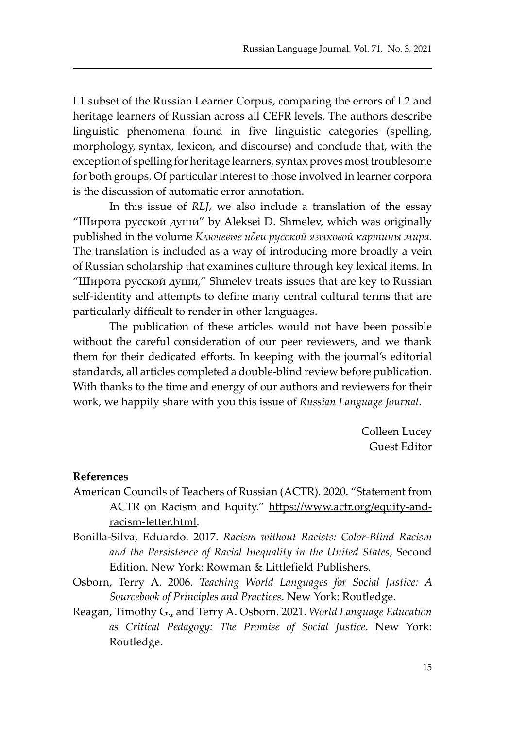L1 subset of the Russian Learner Corpus, comparing the errors of L2 and heritage learners of Russian across all CEFR levels. The authors describe linguistic phenomena found in five linguistic categories (spelling, morphology, syntax, lexicon, and discourse) and conclude that, with the exception of spelling for heritage learners, syntax proves most troublesome for both groups. Of particular interest to those involved in learner corpora is the discussion of automatic error annotation.

In this issue of *RLJ*, we also include a translation of the essay "Широта русской души" by Aleksei D. Shmelev, which was originally published in the volume *Ключевые идеи русской языковой картины мира*. The translation is included as a way of introducing more broadly a vein of Russian scholarship that examines culture through key lexical items. In "Широта русской души," Shmelev treats issues that are key to Russian self-identity and attempts to define many central cultural terms that are particularly difficult to render in other languages.

The publication of these articles would not have been possible without the careful consideration of our peer reviewers, and we thank them for their dedicated efforts. In keeping with the journal's editorial standards, all articles completed a double-blind review before publication. With thanks to the time and energy of our authors and reviewers for their work, we happily share with you this issue of *Russian Language Journal*.

> Colleen Lucey Guest Editor

#### **References**

- American Councils of Teachers of Russian (ACTR). 2020. "Statement from ACTR on Racism and Equity." https://www.actr.org/equity-andracism-letter.html.
- Bonilla-Silva, Eduardo. 2017. *Racism without Racists: Color-Blind Racism and the Persistence of Racial Inequality in the United States*, Second Edition. New York: Rowman & Littlefield Publishers.
- Osborn, Terry A. 2006. *Teaching World Languages for Social Justice: A Sourcebook of Principles and Practices*. New York: Routledge.
- Reagan, Timothy G., and Terry A. Osborn. 2021. *World Language Education as Critical Pedagogy: The Promise of Social Justice*. New York: Routledge.